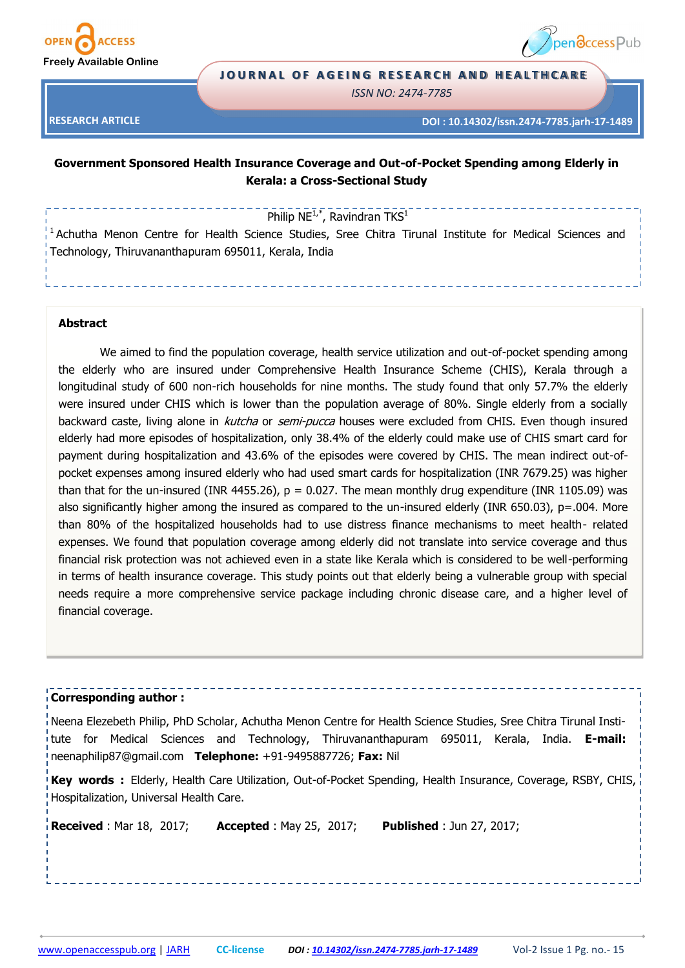

**RESEARCH ARTICLE**



#### **JOURNAL OF AGEING RESEARCH AND HEALTHCARE**

*ISSN NO: 2474-7785* 

**DOI : 10.14302/issn.2474-7785.jarh-17-1489**

# **Government Sponsored Health Insurance Coverage and Out-of-Pocket Spending among Elderly in Kerala: a Cross-Sectional Study**

Philip  $NE^{1,*}$ , Ravindran TKS<sup>1</sup>

<sup>1</sup> Achutha Menon Centre for Health Science Studies, Sree Chitra Tirunal Institute for Medical Sciences and Technology, Thiruvananthapuram 695011, Kerala, India

# **Abstract**

We aimed to find the population coverage, health service utilization and out-of-pocket spending among the elderly who are insured under Comprehensive Health Insurance Scheme (CHIS), Kerala through a longitudinal study of 600 non-rich households for nine months. The study found that only 57.7% the elderly were insured under CHIS which is lower than the population average of 80%. Single elderly from a socially backward caste, living alone in *kutcha* or *semi-pucca* houses were excluded from CHIS. Even though insured elderly had more episodes of hospitalization, only 38.4% of the elderly could make use of CHIS smart card for payment during hospitalization and 43.6% of the episodes were covered by CHIS. The mean indirect out-ofpocket expenses among insured elderly who had used smart cards for hospitalization (INR 7679.25) was higher than that for the un-insured (INR 4455.26),  $p = 0.027$ . The mean monthly drug expenditure (INR 1105.09) was also significantly higher among the insured as compared to the un-insured elderly (INR 650.03), p=.004. More than 80% of the hospitalized households had to use distress finance mechanisms to meet health- related expenses. We found that population coverage among elderly did not translate into service coverage and thus financial risk protection was not achieved even in a state like Kerala which is considered to be well-performing in terms of health insurance coverage. This study points out that elderly being a vulnerable group with special needs require a more comprehensive service package including chronic disease care, and a higher level of financial coverage.

#### **Corresponding author :**

Neena Elezebeth Philip, PhD Scholar, Achutha Menon Centre for Health Science Studies, Sree Chitra Tirunal Institute for Medical Sciences and Technology, Thiruvananthapuram 695011, Kerala, India. **E-mail:** neenaphilip87@gmail.com **Telephone:** +91-9495887726; **Fax:** Nil

**Key words :** Elderly, Health Care Utilization, Out-of-Pocket Spending, Health Insurance, Coverage, RSBY, CHIS, Hospitalization, Universal Health Care.

**Received** : Mar 18, 2017; **Accepted** : May 25, 2017; **Published** : Jun 27, 2017;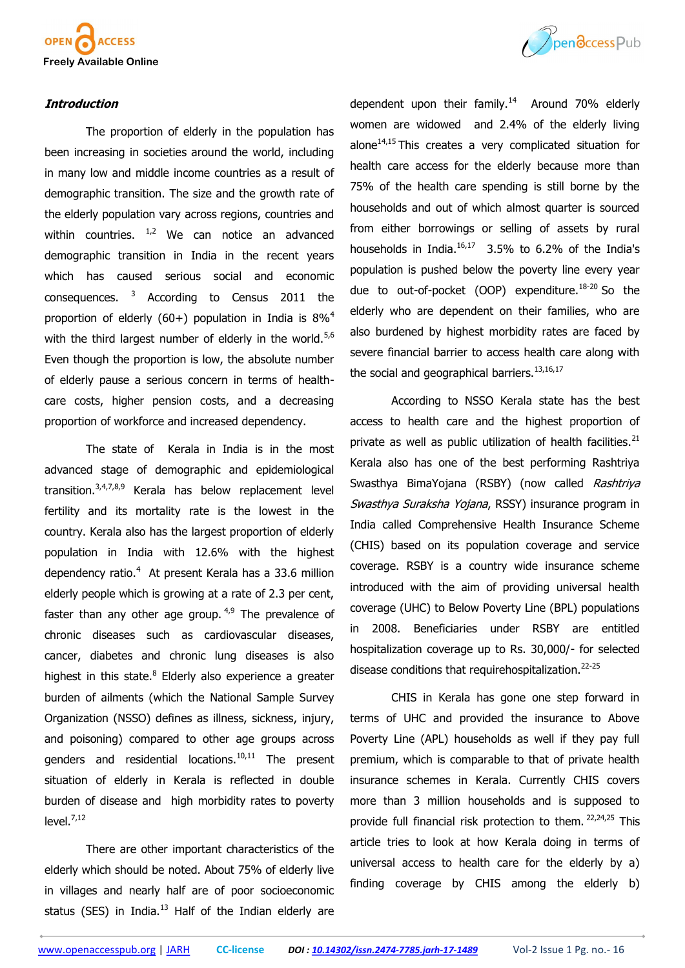

# **Introduction**

The proportion of elderly in the population has been increasing in societies around the world, including in many low and middle income countries as a result of demographic transition. The size and the growth rate of the elderly population vary across regions, countries and within countries.  $1/2$  We can notice an advanced demographic transition in India in the recent years which has caused serious social and economic consequences. <sup>3</sup> According to Census 2011 the proportion of elderly (60+) population in India is  $8\%^4$ with the third largest number of elderly in the world.<sup>5,6</sup> Even though the proportion is low, the absolute number of elderly pause a serious concern in terms of healthcare costs, higher pension costs, and a decreasing proportion of workforce and increased dependency.

The state of Kerala in India is in the most advanced stage of demographic and epidemiological transition.3,4,7,8,9 Kerala has below replacement level fertility and its mortality rate is the lowest in the country. Kerala also has the largest proportion of elderly population in India with 12.6% with the highest dependency ratio.<sup>4</sup> At present Kerala has a 33.6 million elderly people which is growing at a rate of 2.3 per cent, faster than any other age group.  $4,9$  The prevalence of chronic diseases such as cardiovascular diseases, cancer, diabetes and chronic lung diseases is also highest in this state.<sup>8</sup> Elderly also experience a greater burden of ailments (which the National Sample Survey Organization (NSSO) defines as illness, sickness, injury, and poisoning) compared to other age groups across genders and residential locations. $10,11$  The present situation of elderly in Kerala is reflected in double burden of disease and high morbidity rates to poverty  $level.<sup>7,12</sup>$ 

There are other important characteristics of the elderly which should be noted. About 75% of elderly live in villages and nearly half are of poor socioeconomic status (SES) in India. $^{13}$  Half of the Indian elderly are



dependent upon their family. $14$  Around 70% elderly women are widowed and 2.4% of the elderly living alone $^{14,15}$  This creates a very complicated situation for health care access for the elderly because more than 75% of the health care spending is still borne by the households and out of which almost quarter is sourced from either borrowings or selling of assets by rural households in India. $16,17$  3.5% to 6.2% of the India's population is pushed below the poverty line every year due to out-of-pocket (OOP) expenditure. $18-20$  So the elderly who are dependent on their families, who are also burdened by highest morbidity rates are faced by severe financial barrier to access health care along with the social and geographical barriers. $13,16,17$ 

According to NSSO Kerala state has the best access to health care and the highest proportion of private as well as public utilization of health facilities. $21$ Kerala also has one of the best performing Rashtriya Swasthya BimaYojana (RSBY) (now called Rashtriya Swasthya Suraksha Yojana, RSSY) insurance program in India called Comprehensive Health Insurance Scheme (CHIS) based on its population coverage and service coverage. RSBY is a country wide insurance scheme introduced with the aim of providing universal health coverage (UHC) to Below Poverty Line (BPL) populations in 2008. Beneficiaries under RSBY are entitled hospitalization coverage up to Rs. 30,000/- for selected disease conditions that requirehospitalization.<sup>22-25</sup>

CHIS in Kerala has gone one step forward in terms of UHC and provided the insurance to Above Poverty Line (APL) households as well if they pay full premium, which is comparable to that of private health insurance schemes in Kerala. Currently CHIS covers more than 3 million households and is supposed to provide full financial risk protection to them. <sup>22,24,25</sup> This article tries to look at how Kerala doing in terms of universal access to health care for the elderly by a) finding coverage by CHIS among the elderly b)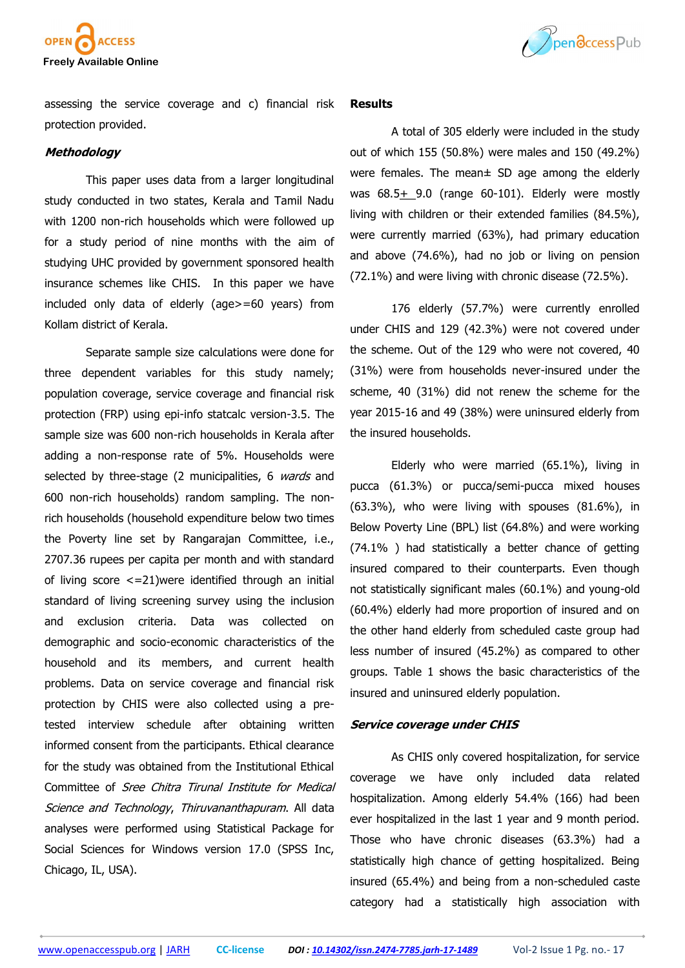



assessing the service coverage and c) financial risk protection provided.

# **Methodology**

This paper uses data from a larger longitudinal study conducted in two states, Kerala and Tamil Nadu with 1200 non-rich households which were followed up for a study period of nine months with the aim of studying UHC provided by government sponsored health insurance schemes like CHIS. In this paper we have included only data of elderly (age>=60 years) from Kollam district of Kerala.

Separate sample size calculations were done for three dependent variables for this study namely; population coverage, service coverage and financial risk protection (FRP) using epi-info statcalc version-3.5. The sample size was 600 non-rich households in Kerala after adding a non-response rate of 5%. Households were selected by three-stage (2 municipalities, 6 wards and 600 non-rich households) random sampling. The nonrich households (household expenditure below two times the Poverty line set by Rangarajan Committee, i.e., 2707.36 rupees per capita per month and with standard of living score <=21)were identified through an initial standard of living screening survey using the inclusion and exclusion criteria. Data was collected on demographic and socio-economic characteristics of the household and its members, and current health problems. Data on service coverage and financial risk protection by CHIS were also collected using a pretested interview schedule after obtaining written informed consent from the participants. Ethical clearance for the study was obtained from the Institutional Ethical Committee of Sree Chitra Tirunal Institute for Medical Science and Technology, Thiruvananthapuram. All data analyses were performed using Statistical Package for Social Sciences for Windows version 17.0 (SPSS Inc, Chicago, IL, USA).

#### **Results**

A total of 305 elderly were included in the study out of which 155 (50.8%) were males and 150 (49.2%) were females. The mean± SD age among the elderly was  $68.5 + 9.0$  (range  $60-101$ ). Elderly were mostly living with children or their extended families (84.5%), were currently married (63%), had primary education and above (74.6%), had no job or living on pension (72.1%) and were living with chronic disease (72.5%).

176 elderly (57.7%) were currently enrolled under CHIS and 129 (42.3%) were not covered under the scheme. Out of the 129 who were not covered, 40 (31%) were from households never-insured under the scheme, 40 (31%) did not renew the scheme for the year 2015-16 and 49 (38%) were uninsured elderly from the insured households.

Elderly who were married (65.1%), living in pucca (61.3%) or pucca/semi-pucca mixed houses (63.3%), who were living with spouses (81.6%), in Below Poverty Line (BPL) list (64.8%) and were working (74.1% ) had statistically a better chance of getting insured compared to their counterparts. Even though not statistically significant males (60.1%) and young-old (60.4%) elderly had more proportion of insured and on the other hand elderly from scheduled caste group had less number of insured (45.2%) as compared to other groups. Table 1 shows the basic characteristics of the insured and uninsured elderly population.

#### **Service coverage under CHIS**

As CHIS only covered hospitalization, for service coverage we have only included data related hospitalization. Among elderly 54.4% (166) had been ever hospitalized in the last 1 year and 9 month period. Those who have chronic diseases (63.3%) had a statistically high chance of getting hospitalized. Being insured (65.4%) and being from a non-scheduled caste category had a statistically high association with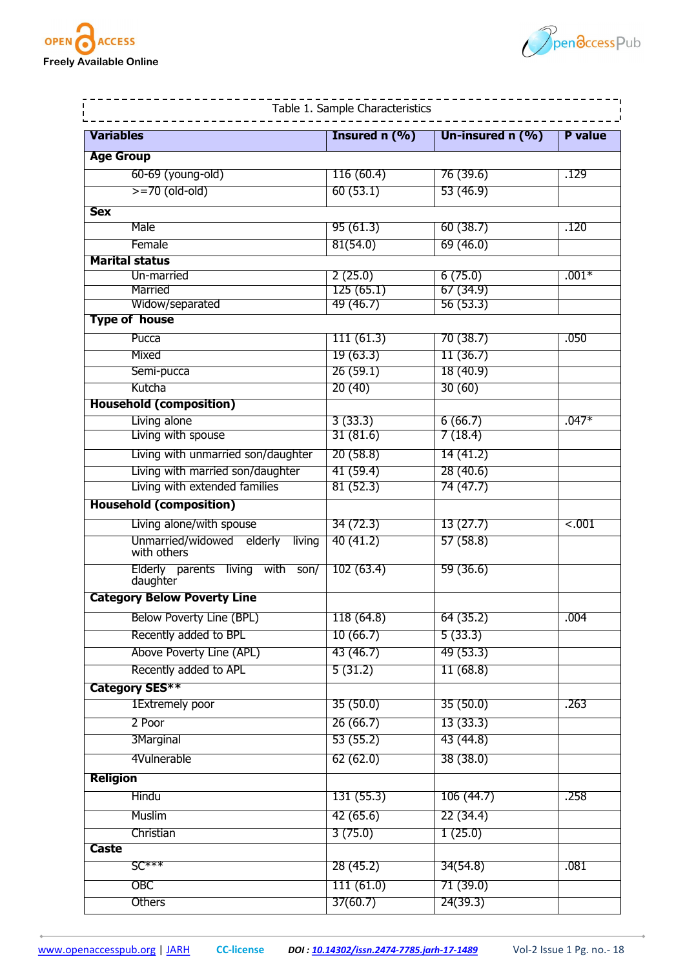



| Variables        |                                                 | Insured $n$ (%) | Un-insured $n$ (%) | <b>P</b> value |
|------------------|-------------------------------------------------|-----------------|--------------------|----------------|
| <b>Age Group</b> |                                                 |                 |                    |                |
|                  | 60-69 (young-old)                               | 116(60.4)       | 76(39.6)           | .129           |
|                  | $>=70$ (old-old)                                | 60(53.1)        | 53(46.9)           |                |
|                  |                                                 |                 |                    |                |
| <b>Sex</b>       |                                                 |                 |                    |                |
|                  | Male                                            | 95(61.3)        | 60(38.7)           | .120           |
|                  | Female                                          | 81(54.0)        | 69(46.0)           |                |
|                  | <b>Marital status</b><br>Un-married             | 2(25.0)         | 6(75.0)            | $.001*$        |
|                  | Married                                         | 125(65.1)       | 67(34.9)           |                |
|                  | Widow/separated                                 | 49 (46.7)       | 56(53.3)           |                |
|                  | <b>Type of house</b>                            |                 |                    |                |
|                  | Pucca                                           | 111(61.3)       | 70(38.7)           | .050           |
|                  | Mixed                                           | 19(63.3)        | 11(36.7)           |                |
|                  | Semi-pucca                                      | 26(59.1)        | 18(40.9)           |                |
|                  | Kutcha                                          | 20(40)          | 30(60)             |                |
|                  | <b>Household (composition)</b>                  |                 |                    |                |
|                  | Living alone                                    | 3(33.3)         | 6(66.7)            | $.047*$        |
|                  | Living with spouse                              | 31(81.6)        | 7(18.4)            |                |
|                  | Living with unmarried son/daughter              | 20(58.8)        | 14 (41.2)          |                |
|                  | Living with married son/daughter                | 41 (59.4)       | 28 (40.6)          |                |
|                  | Living with extended families                   | 81(52.3)        | 74 (47.7)          |                |
|                  | <b>Household (composition)</b>                  |                 |                    |                |
|                  | Living alone/with spouse                        | 34 (72.3)       | 13(27.7)           | $-.001$        |
|                  | Unmarried/widowed elderly<br>living             | 40(41.2)        | 57(58.8)           |                |
|                  | with others<br>Elderly parents living with son/ | 102(63.4)       | 59 (36.6)          |                |
|                  | daughter                                        |                 |                    |                |
|                  | <b>Category Below Poverty Line</b>              |                 |                    |                |
|                  | Below Poverty Line (BPL)                        | 118 (64.8)      | 64 (35.2)          | .004           |
|                  | Recently added to BPL                           | 10(66.7)        | 5(33.3)            |                |
|                  | Above Poverty Line (APL)                        | 43 (46.7)       | 49 (53.3)          |                |
|                  | Recently added to APL                           | 5(31.2)         | 11(68.8)           |                |
|                  | Category SES**                                  |                 |                    |                |
|                  | 1Extremely poor                                 | 35(50.0)        | 35(50.0)           | .263           |
|                  | 2 Poor                                          | 26(66.7)        | 13(33.3)           |                |
|                  | 3Marginal                                       | 53(55.2)        | 43 (44.8)          |                |
|                  | 4Vulnerable                                     | 62(62.0)        | 38(38.0)           |                |
|                  |                                                 |                 |                    |                |
| <b>Religion</b>  |                                                 |                 |                    |                |
|                  | Hindu                                           | 131(55.3)       | 106 (44.7)         | .258           |
|                  | Muslim                                          | 42 (65.6)       | 22 (34.4)          |                |
|                  | Christian                                       | 3(75.0)         | 1(25.0)            |                |
| <b>Caste</b>     |                                                 |                 |                    |                |
|                  | $SC***$                                         | 28 (45.2)       | 34(54.8)           | .081           |
|                  | <b>OBC</b>                                      | 111(61.0)       | 71 (39.0)          |                |
|                  | <b>Others</b>                                   | 37(60.7)        | 24(39.3)           |                |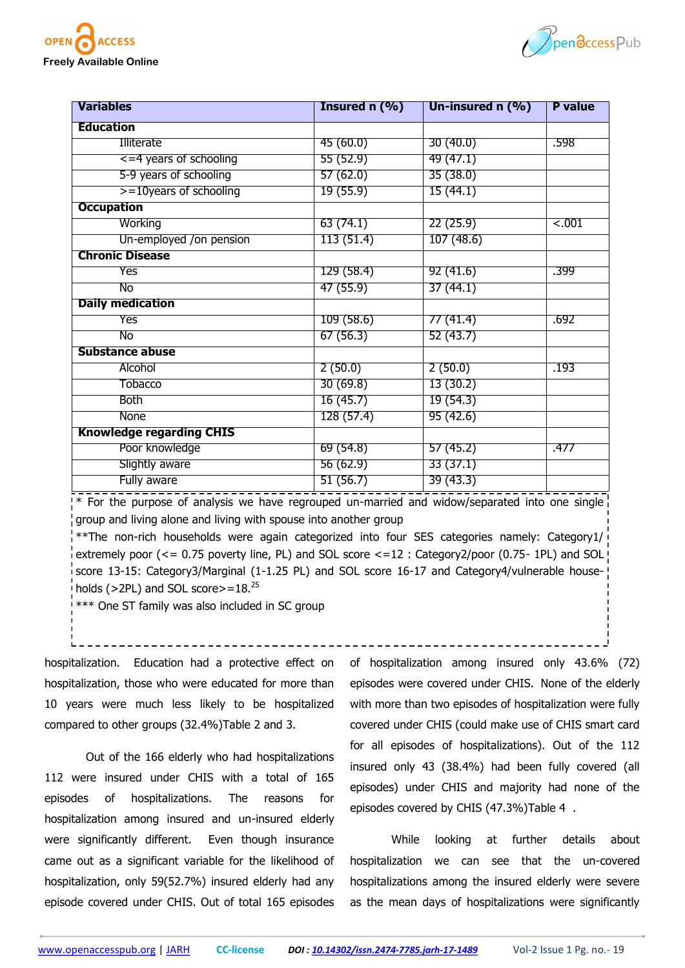



| <b>Variables</b>                | Insured $n$ $(\% )$ | Un-insured $n$ (%) | <b>P</b> value |
|---------------------------------|---------------------|--------------------|----------------|
| <b>Education</b>                |                     |                    |                |
| Illiterate                      | 45 (60.0)           | 30(40.0)           | .598           |
| $\leq$ =4 years of schooling    | 55 (52.9)           | 49 (47.1)          |                |
| 5-9 years of schooling          | 57(62.0)            | 35(38.0)           |                |
| $> = 10$ years of schooling     | 19(55.9)            | 15(44.1)           |                |
| <b>Occupation</b>               |                     |                    |                |
| Working                         | 63(74.1)            | 22(25.9)           | $-.001$        |
| Un-employed /on pension         | 113 (51.4)          | 107(48.6)          |                |
| <b>Chronic Disease</b>          |                     |                    |                |
| Yes                             | 129 (58.4)          | 92(41.6)           | .399           |
| No                              | 47 (55.9)           | 37(44.1)           |                |
| <b>Daily medication</b>         |                     |                    |                |
| Yes                             | 109(58.6)           | 77 (41.4)          | .692           |
| No                              | 67(56.3)            | 52(43.7)           |                |
| <b>Substance abuse</b>          |                     |                    |                |
| Alcohol                         | 2(50.0)             | 2(50.0)            | .193           |
| <b>Tobacco</b>                  | 30(69.8)            | 13(30.2)           |                |
| Both                            | 16 (45.7)           | 19(54.3)           |                |
| None                            | 128 (57.4)          | 95(42.6)           |                |
| <b>Knowledge regarding CHIS</b> |                     |                    |                |
| Poor knowledge                  | 69(54.8)            | 57(45.2)           | .477           |
| Slightly aware                  | 56(62.9)            | 33(37.1)           |                |
| Fully aware                     | 51 (56.7)           | 39(43.3)           |                |

\* For the purpose of analysis we have regrouped un-married and widow/separated into one single group and living alone and living with spouse into another group

\*\*The non-rich households were again categorized into four SES categories namely: Category1/ extremely poor (<= 0.75 poverty line, PL) and SOL score <=12 : Category2/poor (0.75- 1PL) and SOL score 13-15: Category3/Marginal (1-1.25 PL) and SOL score 16-17 and Category4/vulnerable households ( $>2PL$ ) and SOL score $>=18.^{25}$ 

\*\*\* One ST family was also included in SC group

hospitalization. Education had a protective effect on hospitalization, those who were educated for more than 10 years were much less likely to be hospitalized compared to other groups (32.4%)Table 2 and 3.

Out of the 166 elderly who had hospitalizations 112 were insured under CHIS with a total of 165 episodes of hospitalizations. The reasons for hospitalization among insured and un-insured elderly were significantly different. Even though insurance came out as a significant variable for the likelihood of hospitalization, only 59(52.7%) insured elderly had any episode covered under CHIS. Out of total 165 episodes

of hospitalization among insured only 43.6% (72) episodes were covered under CHIS. None of the elderly with more than two episodes of hospitalization were fully covered under CHIS (could make use of CHIS smart card for all episodes of hospitalizations). Out of the 112 insured only 43 (38.4%) had been fully covered (all episodes) under CHIS and majority had none of the episodes covered by CHIS (47.3%)Table 4 .

While looking at further details about hospitalization we can see that the un-covered hospitalizations among the insured elderly were severe as the mean days of hospitalizations were significantly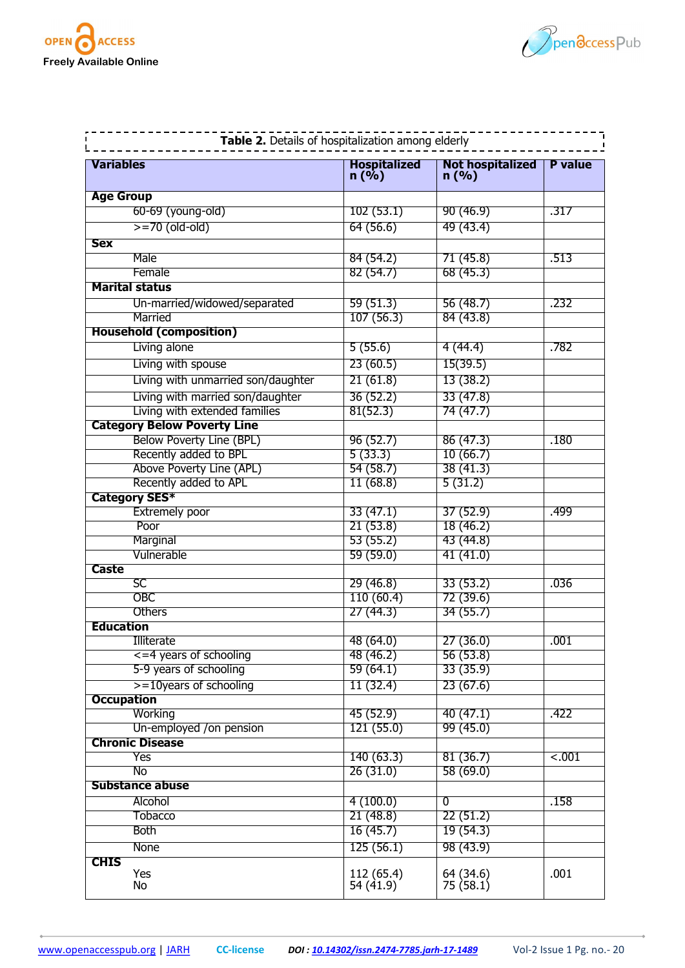



|                   | Table 2. Details of hospitalization among elderly                 |                             |                                 |                |
|-------------------|-------------------------------------------------------------------|-----------------------------|---------------------------------|----------------|
| <b>Variables</b>  |                                                                   | <b>Hospitalized</b><br>n(%) | <b>Not hospitalized</b><br>n(%) | <b>P</b> value |
| <b>Age Group</b>  |                                                                   |                             |                                 |                |
|                   | 60-69 (young-old)                                                 | 102(53.1)                   | 90(46.9)                        | .317           |
|                   | $>=70$ (old-old)                                                  | 64 (56.6)                   | 49 (43.4)                       |                |
| <b>Sex</b>        |                                                                   |                             |                                 |                |
|                   | Male                                                              | 84(54.2)                    | 71(45.8)                        | .513           |
|                   | Female                                                            | 82(54.7)                    | 68(45.3)                        |                |
|                   | <b>Marital status</b>                                             |                             |                                 |                |
|                   | Un-married/widowed/separated                                      | 59(51.3)                    | 56 (48.7)                       | .232           |
|                   | Married                                                           | 107(56.3)                   | 84(43.8)                        |                |
|                   | <b>Household (composition)</b>                                    |                             |                                 |                |
|                   | Living alone                                                      | 5(55.6)                     | 4(44.4)                         | .782           |
|                   | Living with spouse                                                | 23(60.5)                    | 15(39.5)                        |                |
|                   | Living with unmarried son/daughter                                | 21(61.8)                    | 13(38.2)                        |                |
|                   |                                                                   |                             |                                 |                |
|                   | Living with married son/daughter<br>Living with extended families | 36(52.2)<br>81(52.3)        | 33(47.8)<br>74 (47.7)           |                |
|                   | <b>Category Below Poverty Line</b>                                |                             |                                 |                |
|                   | Below Poverty Line (BPL)                                          | 96(52.7)                    | 86(47.3)                        | .180           |
|                   | Recently added to BPL                                             | 5(33.3)                     | 10(66.7)                        |                |
|                   | Above Poverty Line (APL)                                          | 54(58.7)                    | 38(41.3)                        |                |
|                   | Recently added to APL                                             | 11(68.8)                    | 5(31.2)                         |                |
|                   | <b>Category SES*</b>                                              |                             |                                 |                |
|                   | <b>Extremely poor</b>                                             | 33(47.1)                    | 37(52.9)                        | .499           |
|                   | Poor                                                              | 21(53.8)                    | 18(46.2)                        |                |
|                   | Marginal                                                          | 53(55.2)                    | 43(44.8)                        |                |
|                   | Vulnerable                                                        | 59(59.0)                    | 41(41.0)                        |                |
| Caste             |                                                                   |                             |                                 |                |
|                   | SC                                                                | 29(46.8)                    | 33(53.2)                        | .036           |
|                   | <b>OBC</b>                                                        | 110(60.4)                   | 72(39.6)                        |                |
|                   | Others                                                            | 27(44.3)                    | 34(55.7)                        |                |
| <b>Education</b>  |                                                                   |                             |                                 |                |
|                   | Illiterate                                                        | 48 (64.0)                   | 27(36.0)                        | .001           |
|                   | $\leq$ =4 years of schooling                                      | 48 (46.2)                   | 56 (53.8)                       |                |
|                   | 5-9 years of schooling                                            | 59(64.1)                    | 33(35.9)                        |                |
|                   | $>=10$ years of schooling                                         | 11(32.4)                    | 23(67.6)                        |                |
| <b>Occupation</b> |                                                                   |                             |                                 |                |
|                   | Working                                                           | 45(52.9)                    | 40(47.1)                        | .422           |
|                   | Un-employed /on pension                                           | 121(55.0)                   | 99(45.0)                        |                |
|                   | <b>Chronic Disease</b>                                            |                             |                                 |                |
|                   | Yes                                                               | 140(63.3)                   | 81(36.7)                        | < .001         |
|                   | No                                                                | 26(31.0)                    | 58(69.0)                        |                |
|                   | <b>Substance abuse</b>                                            |                             |                                 |                |
|                   | Alcohol                                                           | 4(100.0)                    | $\overline{0}$                  | .158           |
|                   | Tobacco                                                           | 21(48.8)                    | 22(51.2)                        |                |
|                   | Both                                                              | 16(45.7)                    | 19(54.3)                        |                |
|                   | None                                                              | 125(56.1)                   | 98 (43.9)                       |                |
| <b>CHIS</b>       | Yes                                                               | 112 (65.4)                  |                                 | .001           |
|                   | No                                                                | 54 (41.9)                   | 64 (34.6)<br>75 (58.1)          |                |
|                   |                                                                   |                             |                                 |                |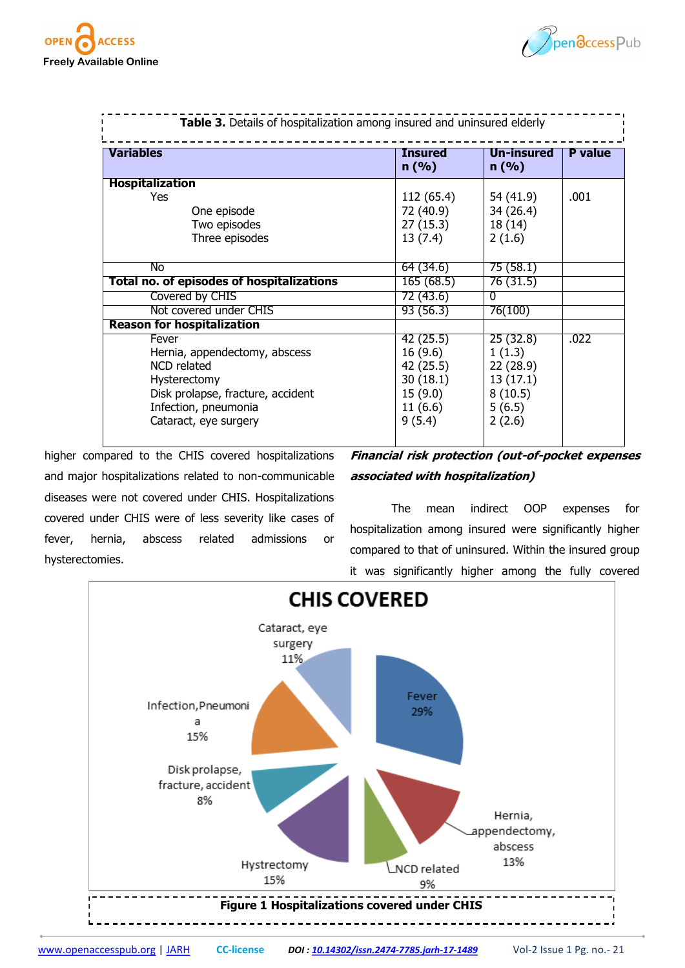



| Table 3. Details of hospitalization among insured and uninsured elderly |                        |                    |                |
|-------------------------------------------------------------------------|------------------------|--------------------|----------------|
| <b>Variables</b>                                                        | <b>Insured</b><br>n(%) | Un-insured<br>n(%) | <b>P</b> value |
| <b>Hospitalization</b>                                                  |                        |                    |                |
| <b>Yes</b>                                                              | 112 (65.4)             | 54 (41.9)          | .001           |
| One episode                                                             | 72 (40.9)              | 34 (26.4)          |                |
| Two episodes                                                            | 27(15.3)               | 18 (14)            |                |
| Three episodes                                                          | 13(7.4)                | 2(1.6)             |                |
| No                                                                      | 64 (34.6)              | 75(58.1)           |                |
| Total no. of episodes of hospitalizations                               | 165(68.5)              | 76 (31.5)          |                |
| Covered by CHIS                                                         | 72 (43.6)              | $\Omega$           |                |
| Not covered under CHIS                                                  | 93 (56.3)              | 76(100)            |                |
| <b>Reason for hospitalization</b>                                       |                        |                    |                |
| Fever                                                                   | 42(25.5)               | 25(32.8)           | .022           |
| Hernia, appendectomy, abscess                                           | 16(9.6)                | 1(1.3)             |                |
| NCD related                                                             | 42 (25.5)              | 22 (28.9)          |                |
| Hysterectomy                                                            | 30(18.1)               | 13(17.1)           |                |
| Disk prolapse, fracture, accident                                       | 15(9.0)                | 8(10.5)            |                |
| Infection, pneumonia                                                    | 11(6.6)                | 5(6.5)             |                |
| Cataract, eye surgery                                                   | 9(5.4)                 | 2(2.6)             |                |
|                                                                         |                        |                    |                |

higher compared to the CHIS covered hospitalizations and major hospitalizations related to non-communicable diseases were not covered under CHIS. Hospitalizations covered under CHIS were of less severity like cases of fever, hernia, abscess related admissions or hysterectomies.

**Financial risk protection (out-of-pocket expenses associated with hospitalization)**

The mean indirect OOP expenses for hospitalization among insured were significantly higher compared to that of uninsured. Within the insured group it was significantly higher among the fully covered

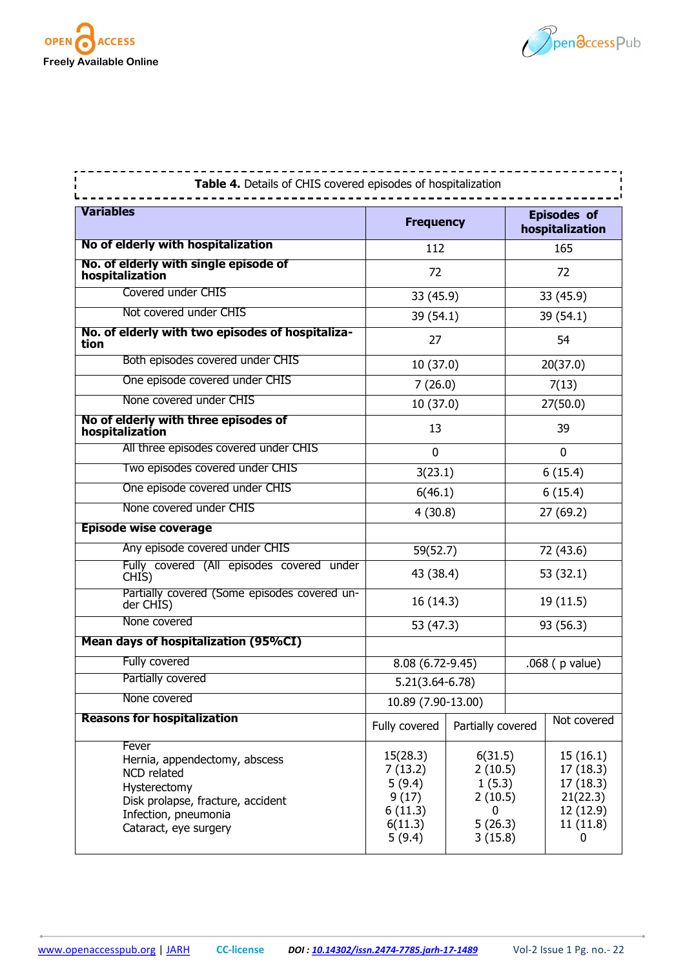



| Table 4. Details of CHIS covered episodes of hospitalization                                                                                                |                                                                        |                                                                    |           |                                                                            |  |
|-------------------------------------------------------------------------------------------------------------------------------------------------------------|------------------------------------------------------------------------|--------------------------------------------------------------------|-----------|----------------------------------------------------------------------------|--|
| <b>Variables</b>                                                                                                                                            | <b>Frequency</b>                                                       |                                                                    |           | <b>Episodes of</b><br>hospitalization                                      |  |
| No of elderly with hospitalization                                                                                                                          | 112                                                                    |                                                                    |           | 165                                                                        |  |
| No. of elderly with single episode of<br>hospitalization                                                                                                    | 72                                                                     |                                                                    |           | 72                                                                         |  |
| Covered under CHIS                                                                                                                                          | 33 (45.9)                                                              |                                                                    |           | 33 (45.9)                                                                  |  |
| Not covered under CHIS                                                                                                                                      | 39 (54.1)                                                              |                                                                    |           | 39 (54.1)                                                                  |  |
| No. of elderly with two episodes of hospitaliza-<br>tion                                                                                                    | 27                                                                     |                                                                    |           | 54                                                                         |  |
| Both episodes covered under CHIS                                                                                                                            | 10 (37.0)                                                              |                                                                    |           | 20(37.0)                                                                   |  |
| One episode covered under CHIS                                                                                                                              | 7(26.0)                                                                |                                                                    |           | 7(13)                                                                      |  |
| None covered under CHIS                                                                                                                                     | 10(37.0)                                                               |                                                                    |           | 27(50.0)                                                                   |  |
| No of elderly with three episodes of<br>hospitalization                                                                                                     | 13                                                                     |                                                                    |           | 39                                                                         |  |
| All three episodes covered under CHIS                                                                                                                       | 0                                                                      |                                                                    |           | $\mathbf 0$                                                                |  |
| Two episodes covered under CHIS                                                                                                                             | 3(23.1)                                                                |                                                                    |           | 6(15.4)                                                                    |  |
| One episode covered under CHIS                                                                                                                              | 6(46.1)                                                                |                                                                    |           | 6(15.4)                                                                    |  |
| None covered under CHIS                                                                                                                                     | 4(30.8)                                                                |                                                                    |           | 27 (69.2)                                                                  |  |
| <b>Episode wise coverage</b>                                                                                                                                |                                                                        |                                                                    |           |                                                                            |  |
| Any episode covered under CHIS                                                                                                                              | 59(52.7)                                                               |                                                                    |           | 72 (43.6)                                                                  |  |
| Fully covered (All episodes covered under<br>CHIS)                                                                                                          | 43 (38.4)                                                              |                                                                    |           | 53 (32.1)                                                                  |  |
| Partially covered (Some episodes covered un-<br>der CHIS)                                                                                                   | 16 (14.3)                                                              |                                                                    |           | 19 (11.5)                                                                  |  |
| None covered                                                                                                                                                | 53 (47.3)                                                              |                                                                    | 93 (56.3) |                                                                            |  |
| Mean days of hospitalization (95%CI)                                                                                                                        |                                                                        |                                                                    |           |                                                                            |  |
| Fully covered                                                                                                                                               | 8.08 (6.72-9.45)                                                       |                                                                    |           | $.068$ ( $p$ value)                                                        |  |
| Partially covered                                                                                                                                           |                                                                        | $5.21(3.64 - 6.78)$                                                |           |                                                                            |  |
| None covered                                                                                                                                                | 10.89 (7.90-13.00)                                                     |                                                                    |           |                                                                            |  |
| <b>Reasons for hospitalization</b>                                                                                                                          | Fully covered                                                          | Partially covered                                                  |           | Not covered                                                                |  |
| Fever<br>Hernia, appendectomy, abscess<br>NCD related<br>Hysterectomy<br>Disk prolapse, fracture, accident<br>Infection, pneumonia<br>Cataract, eye surgery | 15(28.3)<br>7(13.2)<br>5(9.4)<br>9(17)<br>6(11.3)<br>6(11.3)<br>5(9.4) | 6(31.5)<br>2(10.5)<br>1(5.3)<br>2(10.5)<br>O<br>5(26.3)<br>3(15.8) |           | 15(16.1)<br>17(18.3)<br>17(18.3)<br>21(22.3)<br>12 (12.9)<br>11(11.8)<br>0 |  |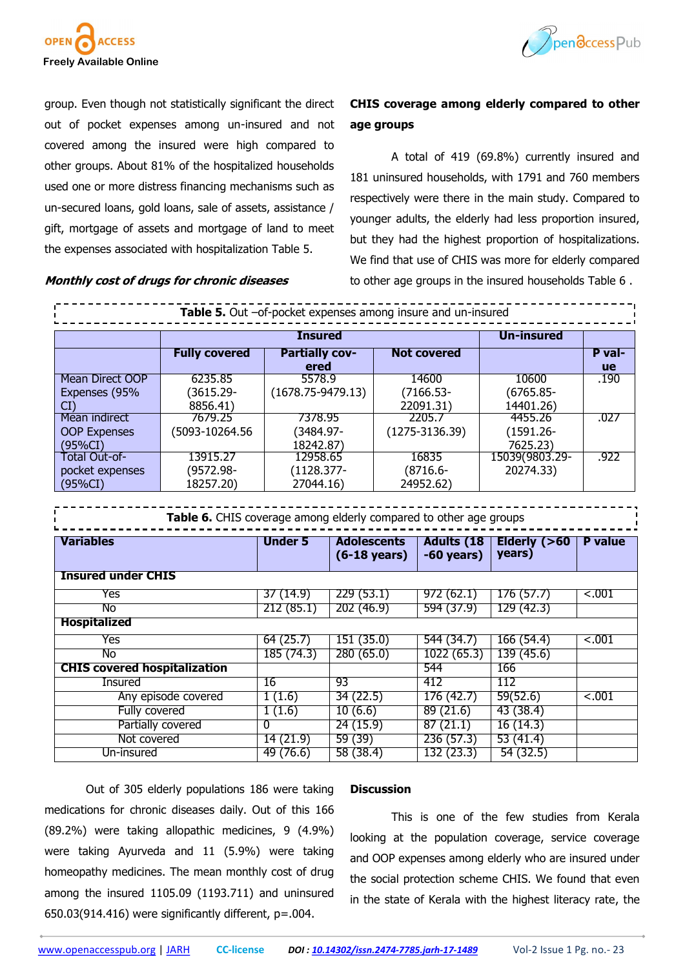



group. Even though not statistically significant the direct out of pocket expenses among un-insured and not covered among the insured were high compared to other groups. About 81% of the hospitalized households used one or more distress financing mechanisms such as un-secured loans, gold loans, sale of assets, assistance / gift, mortgage of assets and mortgage of land to meet the expenses associated with hospitalization Table 5.

**Monthly cost of drugs for chronic diseases**

# **CHIS coverage among elderly compared to other age groups**

A total of 419 (69.8%) currently insured and 181 uninsured households, with 1791 and 760 members respectively were there in the main study. Compared to younger adults, the elderly had less proportion insured, but they had the highest proportion of hospitalizations. We find that use of CHIS was more for elderly compared to other age groups in the insured households Table 6 .

|                                     | Table 5. Out -of-pocket expenses among insure and un-insured      |                          |                                              |                                   |                          |                |
|-------------------------------------|-------------------------------------------------------------------|--------------------------|----------------------------------------------|-----------------------------------|--------------------------|----------------|
|                                     |                                                                   | <b>Insured</b>           |                                              |                                   | <b>Un-insured</b>        |                |
|                                     | <b>Fully covered</b>                                              | <b>Partially cov-</b>    |                                              | <b>Not covered</b>                |                          | P val-         |
|                                     |                                                                   | ered                     |                                              |                                   |                          | <b>ue</b>      |
| Mean Direct OOP                     | 6235.85                                                           | 5578.9                   |                                              | 14600                             | 10600                    | .190           |
| Expenses (95%                       | $(3615.29 -$                                                      | $(1678.75 - 9479.13)$    |                                              | $(7166.53 -$                      | $(6765.85 -$             |                |
| CI                                  | 8856.41)                                                          |                          |                                              | 22091.31)                         | 14401.26)                |                |
| Mean indirect                       | 7679.25                                                           | 7378.95                  |                                              | 2205.7                            | 4455.26                  | .027           |
| <b>OOP Expenses</b>                 | (5093-10264.56                                                    | (3484.97-                |                                              | $(1275 - 3136.39)$                | $(1591.26 -$             |                |
| $(95\%CI)$                          |                                                                   | 18242.87)                |                                              |                                   | 7625.23)                 |                |
| <b>Total Out-of-</b>                | 13915.27                                                          | 12958.65                 |                                              | 16835                             | 15039(9803.29-           | .922           |
| pocket expenses                     | (9572.98-                                                         | $(1128.377 -$            |                                              | $(8716.6 -$                       | 20274.33)                |                |
| (95%CI)                             | 18257.20)                                                         | 27044.16)                |                                              | 24952.62)                         |                          |                |
|                                     | Table 6. CHIS coverage among elderly compared to other age groups |                          |                                              |                                   |                          |                |
|                                     |                                                                   |                          |                                              |                                   |                          |                |
| <b>Variables</b>                    |                                                                   | <b>Under 5</b>           | <b>Adolescents</b><br>$(6-18 \text{ years})$ | <b>Adults (18</b><br>$-60$ years) | Elderly $(>60$<br>years) | <b>P</b> value |
| <b>Insured under CHIS</b>           |                                                                   |                          |                                              |                                   |                          |                |
| Yes                                 |                                                                   | 37(14.9)                 | 229(53.1)                                    | 972(62.1)                         | 176(57.7)                | $-.001$        |
| No                                  |                                                                   | 212(85.1)                | 202 (46.9)                                   | 594 (37.9)                        | 129 (42.3)               |                |
| <b>Hospitalized</b>                 |                                                                   |                          |                                              |                                   |                          |                |
| Yes                                 |                                                                   | 64(25.7)                 | 151(35.0)                                    | 544 (34.7)                        | 166(54.4)                | $-.001$        |
| No                                  |                                                                   | 185(74.3)                | 280(65.0)                                    | 1022(65.3)                        | 139(45.6)                |                |
| <b>CHIS covered hospitalization</b> |                                                                   |                          |                                              | 544                               | 166                      |                |
| <b>Insured</b>                      |                                                                   | 16                       | 93                                           | 412                               | 112                      |                |
|                                     | Any episode covered                                               | 1(1.6)                   | 34 (22.5)                                    | 176 (42.7)                        | 59(52.6)                 | < .001         |
| Fully covered                       |                                                                   |                          | 10(6.6)                                      | 89 (21.6)                         | 43 (38.4)                |                |
|                                     | Partially covered                                                 | 1(1.6)<br>$\overline{0}$ | 24(15.9)                                     | 87(21.1)                          | 16(14.3)                 |                |
| Not covered                         |                                                                   | 14(21.9)                 | 59 (39)                                      | 236(57.3)                         | 53(41.4)                 |                |

Out of 305 elderly populations 186 were taking medications for chronic diseases daily. Out of this 166 (89.2%) were taking allopathic medicines, 9 (4.9%) were taking Ayurveda and 11 (5.9%) were taking homeopathy medicines. The mean monthly cost of drug among the insured 1105.09 (1193.711) and uninsured 650.03(914.416) were significantly different, p=.004.

#### **Discussion**

This is one of the few studies from Kerala looking at the population coverage, service coverage and OOP expenses among elderly who are insured under the social protection scheme CHIS. We found that even in the state of Kerala with the highest literacy rate, the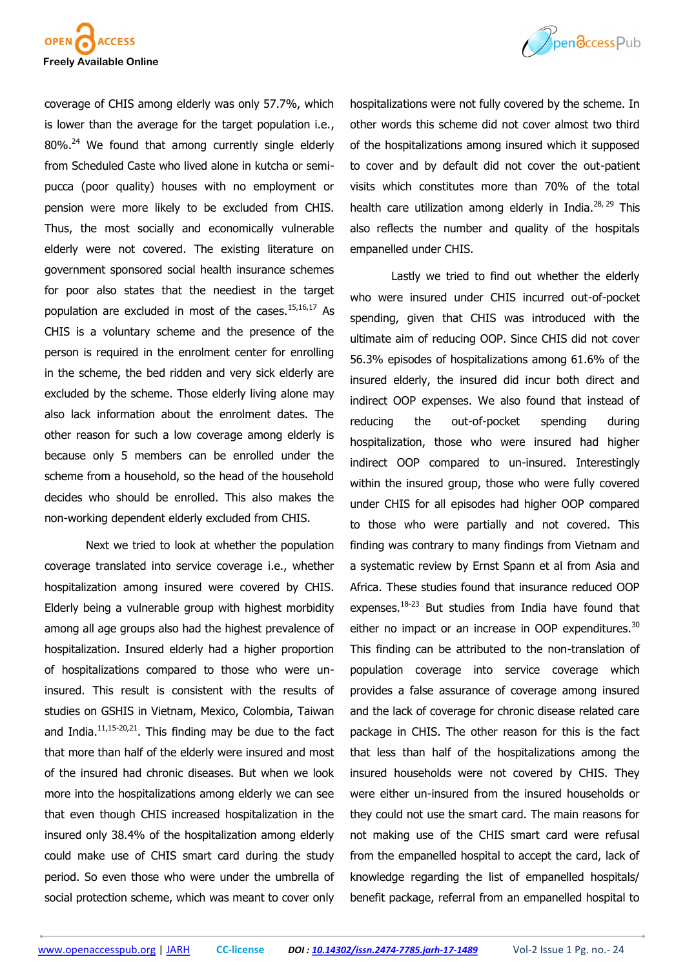



coverage of CHIS among elderly was only 57.7%, which is lower than the average for the target population i.e.,  $80\%$ .<sup>24</sup> We found that among currently single elderly from Scheduled Caste who lived alone in kutcha or semipucca (poor quality) houses with no employment or pension were more likely to be excluded from CHIS. Thus, the most socially and economically vulnerable elderly were not covered. The existing literature on government sponsored social health insurance schemes for poor also states that the neediest in the target population are excluded in most of the cases. $15,16,17$  As CHIS is a voluntary scheme and the presence of the person is required in the enrolment center for enrolling in the scheme, the bed ridden and very sick elderly are excluded by the scheme. Those elderly living alone may also lack information about the enrolment dates. The other reason for such a low coverage among elderly is because only 5 members can be enrolled under the scheme from a household, so the head of the household decides who should be enrolled. This also makes the non-working dependent elderly excluded from CHIS.

Next we tried to look at whether the population coverage translated into service coverage i.e., whether hospitalization among insured were covered by CHIS. Elderly being a vulnerable group with highest morbidity among all age groups also had the highest prevalence of hospitalization. Insured elderly had a higher proportion of hospitalizations compared to those who were uninsured. This result is consistent with the results of studies on GSHIS in Vietnam, Mexico, Colombia, Taiwan and India. $11,15-20,21$ . This finding may be due to the fact that more than half of the elderly were insured and most of the insured had chronic diseases. But when we look more into the hospitalizations among elderly we can see that even though CHIS increased hospitalization in the insured only 38.4% of the hospitalization among elderly could make use of CHIS smart card during the study period. So even those who were under the umbrella of social protection scheme, which was meant to cover only

hospitalizations were not fully covered by the scheme. In other words this scheme did not cover almost two third of the hospitalizations among insured which it supposed to cover and by default did not cover the out-patient visits which constitutes more than 70% of the total health care utilization among elderly in India. $^{28, 29}$  This also reflects the number and quality of the hospitals empanelled under CHIS.

Lastly we tried to find out whether the elderly who were insured under CHIS incurred out-of-pocket spending, given that CHIS was introduced with the ultimate aim of reducing OOP. Since CHIS did not cover 56.3% episodes of hospitalizations among 61.6% of the insured elderly, the insured did incur both direct and indirect OOP expenses. We also found that instead of reducing the out-of-pocket spending during hospitalization, those who were insured had higher indirect OOP compared to un-insured. Interestingly within the insured group, those who were fully covered under CHIS for all episodes had higher OOP compared to those who were partially and not covered. This finding was contrary to many findings from Vietnam and a systematic review by Ernst Spann et al from Asia and Africa. These studies found that insurance reduced OOP expenses. $18-23$  But studies from India have found that either no impact or an increase in OOP expenditures. $30$ This finding can be attributed to the non-translation of population coverage into service coverage which provides a false assurance of coverage among insured and the lack of coverage for chronic disease related care package in CHIS. The other reason for this is the fact that less than half of the hospitalizations among the insured households were not covered by CHIS. They were either un-insured from the insured households or they could not use the smart card. The main reasons for not making use of the CHIS smart card were refusal from the empanelled hospital to accept the card, lack of knowledge regarding the list of empanelled hospitals/ benefit package, referral from an empanelled hospital to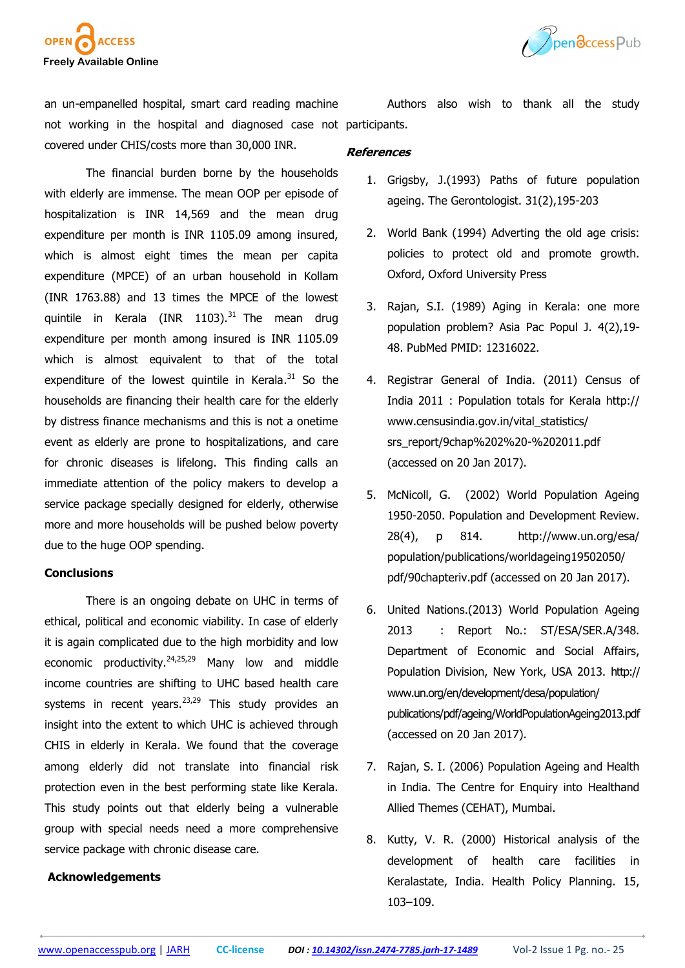



an un-empanelled hospital, smart card reading machine not working in the hospital and diagnosed case not participants. covered under CHIS/costs more than 30,000 INR.

The financial burden borne by the households with elderly are immense. The mean OOP per episode of hospitalization is INR 14,569 and the mean drug expenditure per month is INR 1105.09 among insured, which is almost eight times the mean per capita expenditure (MPCE) of an urban household in Kollam (INR 1763.88) and 13 times the MPCE of the lowest quintile in Kerala (INR 1103). $31$  The mean drug expenditure per month among insured is INR 1105.09 which is almost equivalent to that of the total expenditure of the lowest quintile in Kerala.<sup>31</sup> So the households are financing their health care for the elderly by distress finance mechanisms and this is not a onetime event as elderly are prone to hospitalizations, and care for chronic diseases is lifelong. This finding calls an immediate attention of the policy makers to develop a service package specially designed for elderly, otherwise more and more households will be pushed below poverty due to the huge OOP spending.

# **Conclusions**

There is an ongoing debate on UHC in terms of ethical, political and economic viability. In case of elderly it is again complicated due to the high morbidity and low economic productivity.<sup>24,25,29</sup> Many low and middle income countries are shifting to UHC based health care systems in recent years. $23,29$  This study provides an insight into the extent to which UHC is achieved through CHIS in elderly in Kerala. We found that the coverage among elderly did not translate into financial risk protection even in the best performing state like Kerala. This study points out that elderly being a vulnerable group with special needs need a more comprehensive service package with chronic disease care.

# **Acknowledgements**

Authors also wish to thank all the study

#### **References**

- 1. Grigsby, J.(1993) Paths of future population ageing. The Gerontologist. 31(2),195-203
- 2. World Bank (1994) Adverting the old age crisis: policies to protect old and promote growth. Oxford, Oxford University Press
- 3. Rajan, S.I. (1989) Aging in Kerala: one more population problem? Asia Pac Popul J. 4(2),19- 48. PubMed PMID: 12316022.
- 4. Registrar General of India. (2011) Census of India 2011 : Population totals for Kerala http:// www.censusindia.gov.in/vital\_statistics/ srs\_report/9chap%202%20-%202011.pdf (accessed on 20 Jan 2017).
- 5. McNicoll, G. (2002) World Population Ageing 1950-2050. Population and Development Review. 28(4), p 814. http://www.un.org/esa/ population/publications/worldageing19502050/ pdf/90chapteriv.pdf (accessed on 20 Jan 2017).
- 6. United Nations.(2013) World Population Ageing 2013 : Report No.: ST/ESA/SER.A/348. Department of Economic and Social Affairs, Population Division, New York, USA 2013. http:// www.un.org/en/development/desa/population/ publications/pdf/ageing/WorldPopulationAgeing2013.pdf (accessed on 20 Jan 2017).
- 7. Rajan, S. I. (2006) Population Ageing and Health in India. The Centre for Enquiry into Healthand Allied Themes (CEHAT), Mumbai.
- 8. Kutty, V. R. (2000) Historical analysis of the development of health care facilities in Keralastate, India. Health Policy Planning. 15, 103–109.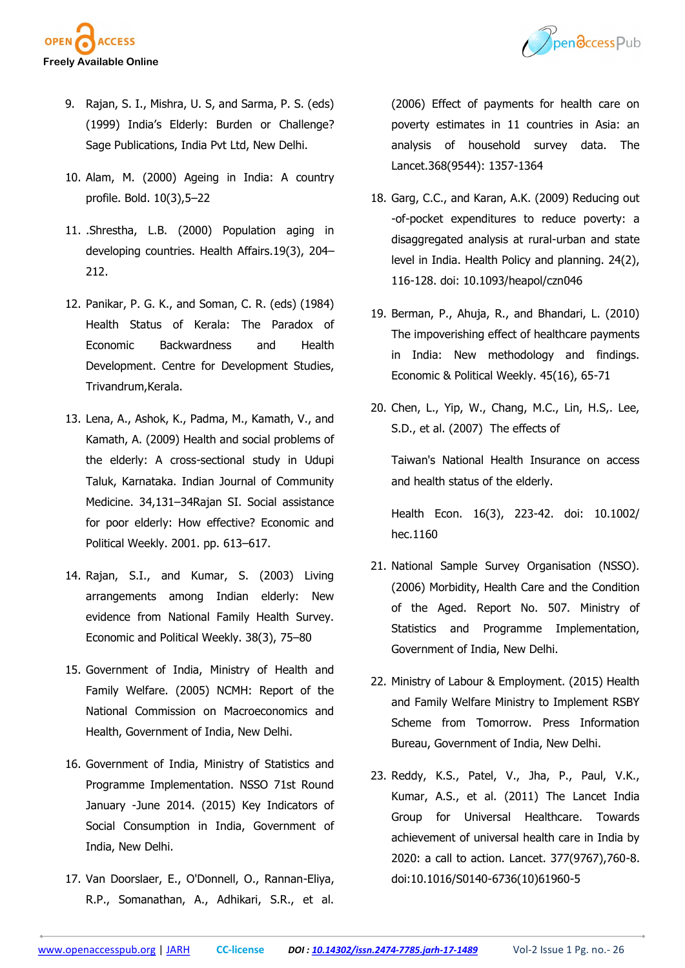



- 9. Rajan, S. I., Mishra, U. S, and Sarma, P. S. (eds) (1999) India's Elderly: Burden or Challenge? Sage Publications, India Pvt Ltd, New Delhi.
- 10. Alam, M. (2000) Ageing in India: A country profile. Bold. 10(3),5–22
- 11. .Shrestha, L.B. (2000) Population aging in developing countries. Health Affairs.19(3), 204– 212.
- 12. Panikar, P. G. K., and Soman, C. R. (eds) (1984) Health Status of Kerala: The Paradox of Economic Backwardness and Health Development. Centre for Development Studies, Trivandrum,Kerala.
- 13. Lena, A., Ashok, K., Padma, M., Kamath, V., and Kamath, A. (2009) Health and social problems of the elderly: A cross-sectional study in Udupi Taluk, Karnataka. Indian Journal of Community Medicine. 34,131–34Rajan SI. Social assistance for poor elderly: How effective? Economic and Political Weekly. 2001. pp. 613–617.
- 14. Rajan, S.I., and Kumar, S. (2003) Living arrangements among Indian elderly: New evidence from National Family Health Survey. Economic and Political Weekly. 38(3), 75–80
- 15. Government of India, Ministry of Health and Family Welfare. (2005) NCMH: Report of the National Commission on Macroeconomics and Health, Government of India, New Delhi.
- 16. Government of India, Ministry of Statistics and Programme Implementation. NSSO 71st Round January -June 2014. (2015) Key Indicators of Social Consumption in India, Government of India, New Delhi.
- 17. Van Doorslaer, E., O'Donnell, O., Rannan-Eliya, R.P., Somanathan, A., Adhikari, S.R., et al.

(2006) Effect of payments for health care on poverty estimates in 11 countries in Asia: an analysis of household survey data. The Lancet.368(9544): 1357-1364

- 18. Garg, C.C., and Karan, A.K. (2009) Reducing out -of-pocket expenditures to reduce poverty: a disaggregated analysis at rural-urban and state level in India. Health Policy and planning. 24(2), 116-128. doi: 10.1093/heapol/czn046
- 19. Berman, P., Ahuja, R., and Bhandari, L. (2010) The impoverishing effect of healthcare payments in India: New methodology and findings. Economic & Political Weekly. 45(16), 65-71
- 20. Chen, L., Yip, W., Chang, M.C., Lin, H.S,. Lee, S.D., et al. (2007) The effects of

Taiwan's National Health Insurance on access and health status of the elderly.

Health Econ. 16(3), 223-42. doi: 10.1002/ hec.1160

- 21. National Sample Survey Organisation (NSSO). (2006) Morbidity, Health Care and the Condition of the Aged. Report No. 507. Ministry of Statistics and Programme Implementation, Government of India, New Delhi.
- 22. Ministry of Labour & Employment. (2015) Health and Family Welfare Ministry to Implement RSBY Scheme from Tomorrow. Press Information Bureau, Government of India, New Delhi.
- 23. Reddy, K.S., Patel, V., Jha, P., Paul, V.K., Kumar, A.S., et al. (2011) The Lancet India Group for Universal Healthcare. Towards achievement of universal health care in India by 2020: a call to action. Lancet. 377(9767),760-8. doi:10.1016/S0140-6736(10)61960-5